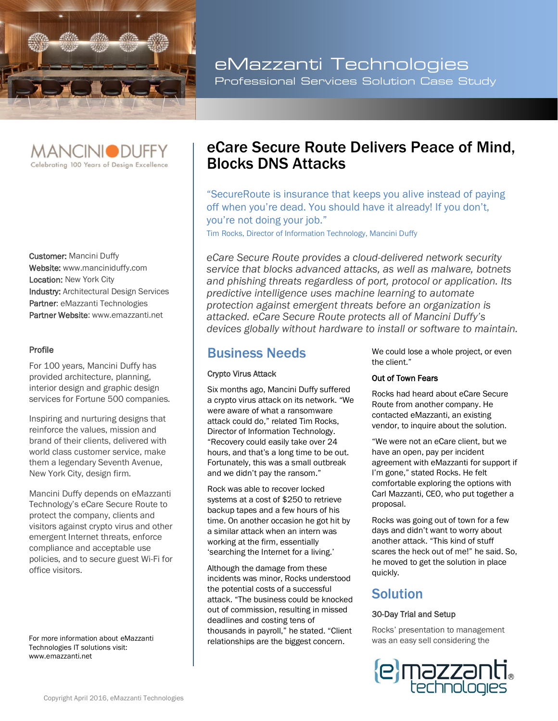

eMazzanti Technologies Professional Services Solution Case Study



Customer: Mancini Duffy Website: www.manciniduffy.com Location: New York City **Industry: Architectural Design Services** Partner: eMazzanti Technologies Partner Website: www.emazzanti.net

#### Profile

For 100 years, Mancini Duffy has provided architecture, planning, interior design and graphic design services for Fortune 500 companies.

Inspiring and nurturing designs that reinforce the values, mission and brand of their clients, delivered with world class customer service, make them a legendary Seventh Avenue, New York City, design firm.

Mancini Duffy depends on eMazzanti Technology's eCare Secure Route to protect the company, clients and visitors against crypto virus and other emergent Internet threats, enforce compliance and acceptable use policies, and to secure guest Wi-Fi for office visitors.

For more information about eMazzanti Technologies IT solutions visit: www.emazzanti.net

# eCare Secure Route Delivers Peace of Mind, Blocks DNS Attacks

"SecureRoute is insurance that keeps you alive instead of paying off when you're dead. You should have it already! If you don't, you're not doing your job."

Tim Rocks, Director of Information Technology, Mancini Duffy

*eCare Secure Route provides a cloud-delivered network security service that blocks advanced attacks, as well as malware, botnets and phishing threats regardless of port, protocol or application. Its predictive intelligence uses machine learning to automate protection against emergent threats before an organization is attacked. eCare Secure Route protects all of Mancini Duffy's devices globally without hardware to install or software to maintain.*

### Business Needs

#### Crypto Virus Attack

Six months ago, Mancini Duffy suffered a crypto virus attack on its network. "We were aware of what a ransomware attack could do," related Tim Rocks, Director of Information Technology. "Recovery could easily take over 24 hours, and that's a long time to be out. Fortunately, this was a small outbreak and we didn't pay the ransom."

Rock was able to recover locked systems at a cost of \$250 to retrieve backup tapes and a few hours of his time. On another occasion he got hit by a similar attack when an intern was working at the firm, essentially 'searching the Internet for a living.'

Although the damage from these incidents was minor, Rocks understood the potential costs of a successful attack. "The business could be knocked out of commission, resulting in missed deadlines and costing tens of thousands in payroll," he stated. "Client relationships are the biggest concern.

We could lose a whole project, or even the client."

#### Out of Town Fears

Rocks had heard about eCare Secure Route from another company. He contacted eMazzanti, an existing vendor, to inquire about the solution.

"We were not an eCare client, but we have an open, pay per incident agreement with eMazzanti for support if I'm gone," stated Rocks. He felt comfortable exploring the options with Carl Mazzanti, CEO, who put together a proposal.

Rocks was going out of town for a few days and didn't want to worry about another attack. "This kind of stuff scares the heck out of me!" he said. So, he moved to get the solution in place quickly.

## Solution

#### 30-Day Trial and Setup

Rocks' presentation to management was an easy sell considering the